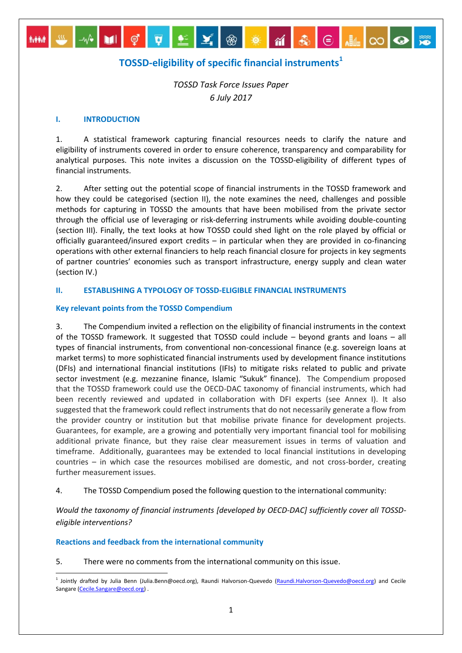# **TOSSD-eligibility of specific financial instruments<sup>1</sup>**

 $\odot$   $\blacksquare$   $\infty$   $\odot$ 

MM W W UI Ç T E Y ® \* M &

*TOSSD Task Force Issues Paper 6 July 2017*

## **I. INTRODUCTION**

1. A statistical framework capturing financial resources needs to clarify the nature and eligibility of instruments covered in order to ensure coherence, transparency and comparability for analytical purposes. This note invites a discussion on the TOSSD-eligibility of different types of financial instruments.

2. After setting out the potential scope of financial instruments in the TOSSD framework and how they could be categorised (section II), the note examines the need, challenges and possible methods for capturing in TOSSD the amounts that have been mobilised from the private sector through the official use of leveraging or risk-deferring instruments while avoiding double-counting (section III). Finally, the text looks at how TOSSD could shed light on the role played by official or officially guaranteed/insured export credits – in particular when they are provided in co-financing operations with other external financiers to help reach financial closure for projects in key segments of partner countries' economies such as transport infrastructure, energy supply and clean water (section IV.)

## **II. ESTABLISHING A TYPOLOGY OF TOSSD-ELIGIBLE FINANCIAL INSTRUMENTS**

## **Key relevant points from the TOSSD Compendium**

3. The Compendium invited a reflection on the eligibility of financial instruments in the context of the TOSSD framework. It suggested that TOSSD could include – beyond grants and loans – all types of financial instruments, from conventional non-concessional finance (e.g. sovereign loans at market terms) to more sophisticated financial instruments used by development finance institutions (DFIs) and international financial institutions (IFIs) to mitigate risks related to public and private sector investment (e.g. mezzanine finance, Islamic "Sukuk" finance). The Compendium proposed that the TOSSD framework could use the OECD-DAC taxonomy of financial instruments, which had been recently reviewed and updated in collaboration with DFI experts (see Annex I). It also suggested that the framework could reflect instruments that do not necessarily generate a flow from the provider country or institution but that mobilise private finance for development projects. Guarantees, for example, are a growing and potentially very important financial tool for mobilising additional private finance, but they raise clear measurement issues in terms of valuation and timeframe. Additionally, guarantees may be extended to local financial institutions in developing countries – in which case the resources mobilised are domestic, and not cross-border, creating further measurement issues.

## 4. The TOSSD Compendium posed the following question to the international community:

*Would the taxonomy of financial instruments [developed by OECD-DAC] sufficiently cover all TOSSDeligible interventions?*

## **Reactions and feedback from the international community**

5. There were no comments from the international community on this issue.

<sup>1</sup> <sup>1</sup> Jointly drafted by Julia Benn (Julia.Benn@oecd.org), Raundi Halvorson-Quevedo [\(Raundi.Halvorson-Quevedo@oecd.org\)](mailto:Raundi.Halvorson-Quevedo@oecd.org) and Cecile Sangare (Cecile.Sangare@oecd.org).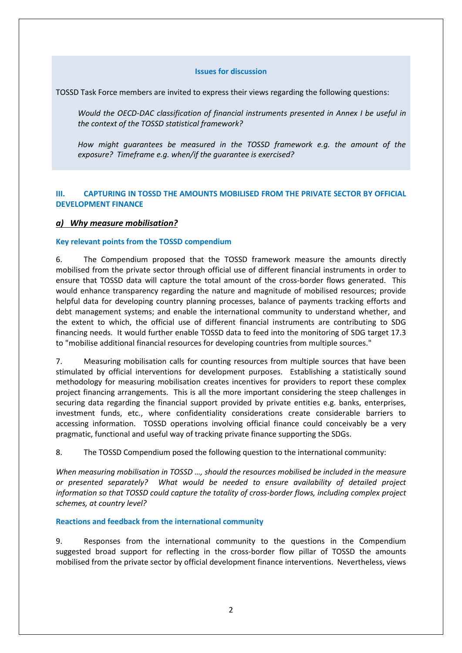## **Issues for discussion**

TOSSD Task Force members are invited to express their views regarding the following questions:

*Would the OECD-DAC classification of financial instruments presented in Annex I be useful in the context of the TOSSD statistical framework?*

*How might guarantees be measured in the TOSSD framework e.g. the amount of the exposure? Timeframe e.g. when/if the guarantee is exercised?* 

## **III. CAPTURING IN TOSSD THE AMOUNTS MOBILISED FROM THE PRIVATE SECTOR BY OFFICIAL DEVELOPMENT FINANCE**

## *a) Why measure mobilisation?*

## **Key relevant points from the TOSSD compendium**

6. The Compendium proposed that the TOSSD framework measure the amounts directly mobilised from the private sector through official use of different financial instruments in order to ensure that TOSSD data will capture the total amount of the cross-border flows generated. This would enhance transparency regarding the nature and magnitude of mobilised resources; provide helpful data for developing country planning processes, balance of payments tracking efforts and debt management systems; and enable the international community to understand whether, and the extent to which, the official use of different financial instruments are contributing to SDG financing needs. It would further enable TOSSD data to feed into the monitoring of SDG target 17.3 to "mobilise additional financial resources for developing countries from multiple sources."

7. Measuring mobilisation calls for counting resources from multiple sources that have been stimulated by official interventions for development purposes. Establishing a statistically sound methodology for measuring mobilisation creates incentives for providers to report these complex project financing arrangements. This is all the more important considering the steep challenges in securing data regarding the financial support provided by private entities e.g. banks, enterprises, investment funds, etc., where confidentiality considerations create considerable barriers to accessing information. TOSSD operations involving official finance could conceivably be a very pragmatic, functional and useful way of tracking private finance supporting the SDGs.

8. The TOSSD Compendium posed the following question to the international community:

*When measuring mobilisation in TOSSD …, should the resources mobilised be included in the measure or presented separately? What would be needed to ensure availability of detailed project information so that TOSSD could capture the totality of cross-border flows, including complex project schemes, at country level?* 

## **Reactions and feedback from the international community**

9. Responses from the international community to the questions in the Compendium suggested broad support for reflecting in the cross-border flow pillar of TOSSD the amounts mobilised from the private sector by official development finance interventions. Nevertheless, views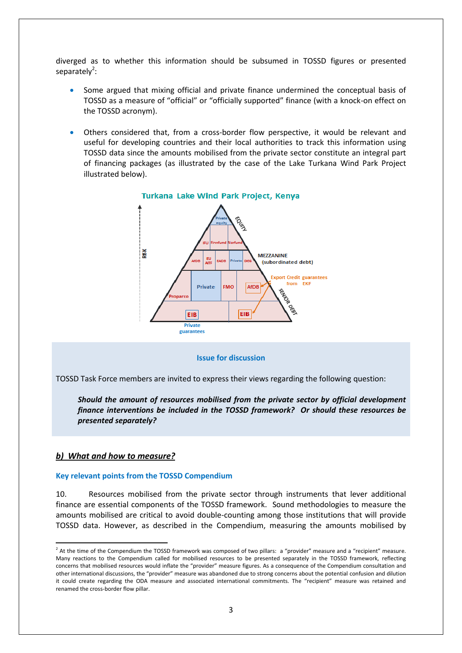diverged as to whether this information should be subsumed in TOSSD figures or presented separately<sup>2</sup>:

- Some argued that mixing official and private finance undermined the conceptual basis of TOSSD as a measure of "official" or "officially supported" finance (with a knock-on effect on the TOSSD acronym).
- Others considered that, from a cross-border flow perspective, it would be relevant and useful for developing countries and their local authorities to track this information using TOSSD data since the amounts mobilised from the private sector constitute an integral part of financing packages (as illustrated by the case of the Lake Turkana Wind Park Project illustrated below).



#### **Issue for discussion**

TOSSD Task Force members are invited to express their views regarding the following question:

*Should the amount of resources mobilised from the private sector by official development finance interventions be included in the TOSSD framework? Or should these resources be presented separately?*

### *b) What and how to measure?*

### **Key relevant points from the TOSSD Compendium**

10. Resources mobilised from the private sector through instruments that lever additional finance are essential components of the TOSSD framework. Sound methodologies to measure the amounts mobilised are critical to avoid double-counting among those institutions that will provide TOSSD data. However, as described in the Compendium, measuring the amounts mobilised by

 2 At the time of the Compendium the TOSSD framework was composed of two pillars: a "provider" measure and a "recipient" measure. Many reactions to the Compendium called for mobilised resources to be presented separately in the TOSSD framework, reflecting concerns that mobilised resources would inflate the "provider" measure figures. As a consequence of the Compendium consultation and other international discussions, the "provider" measure was abandoned due to strong concerns about the potential confusion and dilution it could create regarding the ODA measure and associated international commitments. The "recipient" measure was retained and renamed the cross-border flow pillar.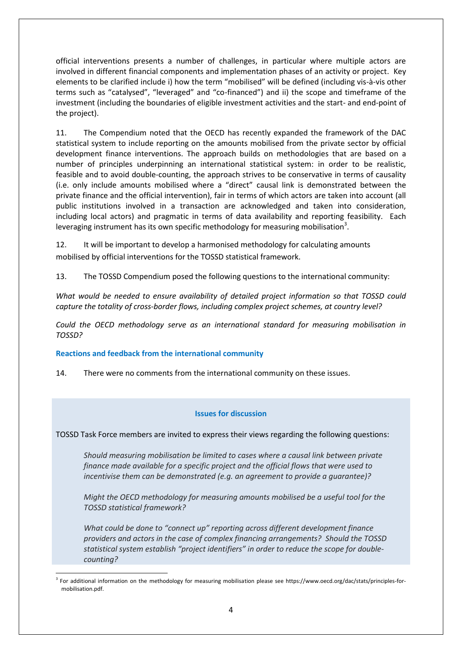official interventions presents a number of challenges, in particular where multiple actors are involved in different financial components and implementation phases of an activity or project. Key elements to be clarified include i) how the term "mobilised" will be defined (including vis-à-vis other terms such as "catalysed", "leveraged" and "co-financed") and ii) the scope and timeframe of the investment (including the boundaries of eligible investment activities and the start- and end-point of the project).

11. The Compendium noted that the OECD has recently expanded the framework of the DAC statistical system to include reporting on the amounts mobilised from the private sector by official development finance interventions. The approach builds on methodologies that are based on a number of principles underpinning an international statistical system: in order to be realistic, feasible and to avoid double-counting, the approach strives to be conservative in terms of causality (i.e. only include amounts mobilised where a "direct" causal link is demonstrated between the private finance and the official intervention), fair in terms of which actors are taken into account (all public institutions involved in a transaction are acknowledged and taken into consideration, including local actors) and pragmatic in terms of data availability and reporting feasibility. Each leveraging instrument has its own specific methodology for measuring mobilisation<sup>3</sup>.

12. It will be important to develop a harmonised methodology for calculating amounts mobilised by official interventions for the TOSSD statistical framework.

13. The TOSSD Compendium posed the following questions to the international community:

*What would be needed to ensure availability of detailed project information so that TOSSD could capture the totality of cross-border flows, including complex project schemes, at country level?* 

*Could the OECD methodology serve as an international standard for measuring mobilisation in TOSSD?* 

## **Reactions and feedback from the international community**

14. There were no comments from the international community on these issues.

## **Issues for discussion**

TOSSD Task Force members are invited to express their views regarding the following questions:

*Should measuring mobilisation be limited to cases where a causal link between private finance made available for a specific project and the official flows that were used to incentivise them can be demonstrated (e.g. an agreement to provide a guarantee)?* 

*Might the OECD methodology for measuring amounts mobilised be a useful tool for the TOSSD statistical framework?*

*What could be done to "connect up" reporting across different development finance providers and actors in the case of complex financing arrangements? Should the TOSSD statistical system establish "project identifiers" in order to reduce the scope for doublecounting?* 

<sup>1</sup> <sup>3</sup> For additional information on the methodology for measuring mobilisation please see https://www.oecd.org/dac/stats/principles-formobilisation.pdf.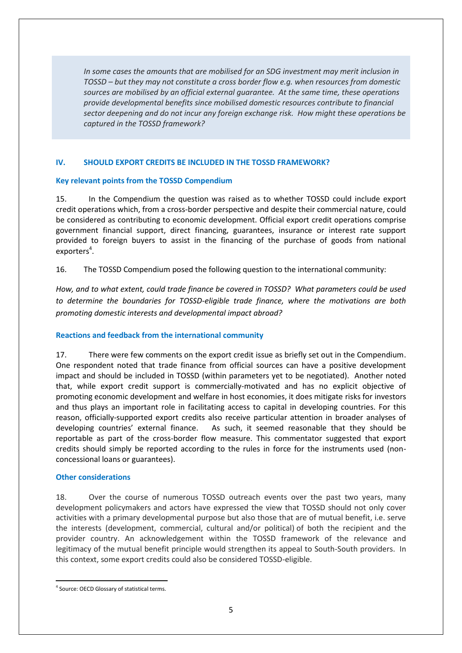*In some cases the amounts that are mobilised for an SDG investment may merit inclusion in TOSSD – but they may not constitute a cross border flow e.g. when resources from domestic sources are mobilised by an official external guarantee. At the same time, these operations provide developmental benefits since mobilised domestic resources contribute to financial sector deepening and do not incur any foreign exchange risk. How might these operations be captured in the TOSSD framework?*

## **IV. SHOULD EXPORT CREDITS BE INCLUDED IN THE TOSSD FRAMEWORK?**

## **Key relevant points from the TOSSD Compendium**

15. In the Compendium the question was raised as to whether TOSSD could include export credit operations which, from a cross-border perspective and despite their commercial nature, could be considered as contributing to economic development. Official export credit operations comprise government financial support, direct financing, guarantees, insurance or interest rate support provided to foreign buyers to assist in the financing of the purchase of goods from national exporters<sup>4</sup>.

16. The TOSSD Compendium posed the following question to the international community:

*How, and to what extent, could trade finance be covered in TOSSD? What parameters could be used to determine the boundaries for TOSSD-eligible trade finance, where the motivations are both promoting domestic interests and developmental impact abroad?* 

## **Reactions and feedback from the international community**

17. There were few comments on the export credit issue as briefly set out in the Compendium. One respondent noted that trade finance from official sources can have a positive development impact and should be included in TOSSD (within parameters yet to be negotiated). Another noted that, while export credit support is commercially-motivated and has no explicit objective of promoting economic development and welfare in host economies, it does mitigate risks for investors and thus plays an important role in facilitating access to capital in developing countries. For this reason, officially-supported export credits also receive particular attention in broader analyses of developing countries' external finance. As such, it seemed reasonable that they should be reportable as part of the cross-border flow measure. This commentator suggested that export credits should simply be reported according to the rules in force for the instruments used (nonconcessional loans or guarantees).

## **Other considerations**

18. Over the course of numerous TOSSD outreach events over the past two years, many development policymakers and actors have expressed the view that TOSSD should not only cover activities with a primary developmental purpose but also those that are of mutual benefit, i.e. serve the interests (development, commercial, cultural and/or political) of both the recipient and the provider country. An acknowledgement within the TOSSD framework of the relevance and legitimacy of the mutual benefit principle would strengthen its appeal to South-South providers. In this context, some export credits could also be considered TOSSD-eligible.

 $\overline{a}$ 

<sup>4</sup> Source: OECD Glossary of statistical terms.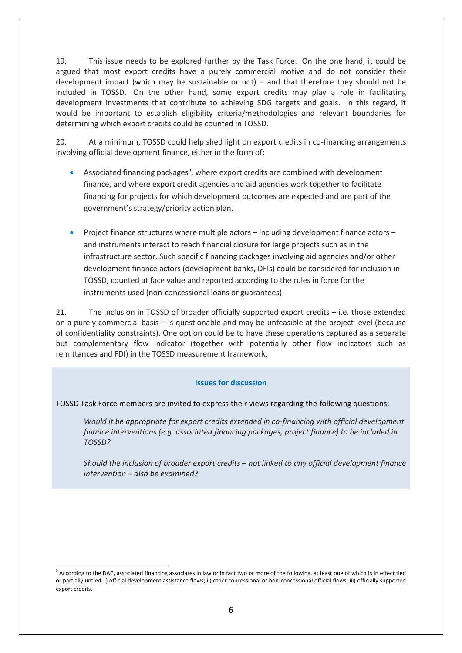19. This issue needs to be explored further by the Task Force. On the one hand, it could be argued that most export credits have a purely commercial motive and do not consider their development impact (which may be sustainable or not) – and that therefore they should not be included in TOSSD. On the other hand, some export credits may play a role in facilitating development investments that contribute to achieving SDG targets and goals. In this regard, it would be important to establish eligibility criteria/methodologies and relevant boundaries for determining which export credits could be counted in TOSSD.

20. At a minimum, TOSSD could help shed light on export credits in co-financing arrangements involving official development finance, either in the form of:

- Associated financing packages<sup>5</sup>, where export credits are combined with development finance, and where export credit agencies and aid agencies work together to facilitate financing for projects for which development outcomes are expected and are part of the government's strategy/priority action plan.
- Project finance structures where multiple actors including development finance actors and instruments interact to reach financial closure for large projects such as in the infrastructure sector. Such specific financing packages involving aid agencies and/or other development finance actors (development banks, DFIs) could be considered for inclusion in TOSSD, counted at face value and reported according to the rules in force for the instruments used (non-concessional loans or guarantees).

21. The inclusion in TOSSD of broader officially supported export credits – i.e. those extended on a purely commercial basis – is questionable and may be unfeasible at the project level (because of confidentiality constraints). One option could be to have these operations captured as a separate but complementary flow indicator (together with potentially other flow indicators such as remittances and FDI) in the TOSSD measurement framework.

## **Issues for discussion**

## TOSSD Task Force members are invited to express their views regarding the following questions:

*Would it be appropriate for export credits extended in co-financing with official development finance interventions (e.g. associated financing packages, project finance) to be included in TOSSD?*

*Should the inclusion of broader export credits – not linked to any official development finance intervention – also be examined?*

**.** 

<sup>&</sup>lt;sup>5</sup> According to the DAC, associated financing associates in law or in fact two or more of the following, at least one of which is in effect tied or partially untied: i) official development assistance flows; ii) other concessional or non-concessional official flows; iii) officially supported export credits.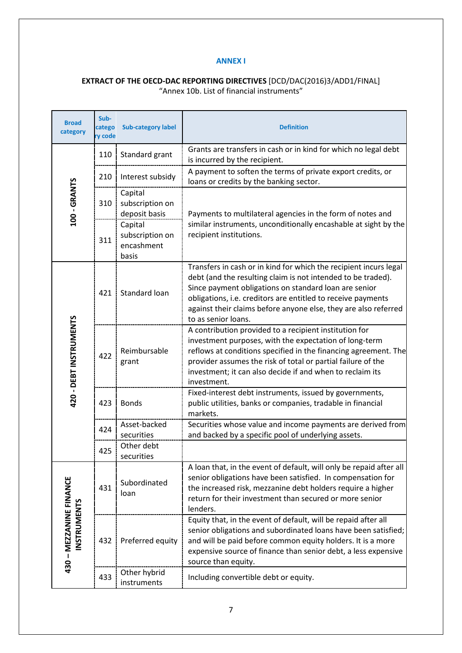## **ANNEX I**

## **EXTRACT OF THE OECD-DAC REPORTING DIRECTIVES** [DCD/DAC(2016)3/ADD1/FINAL] "Annex 10b. List of financial instruments"

| <b>Broad</b><br>category                      | Sub-<br>catego<br>ry code | <b>Sub-category label</b>                         | <b>Definition</b>                                                                                                                                                                                                                                                                                                                                    |
|-----------------------------------------------|---------------------------|---------------------------------------------------|------------------------------------------------------------------------------------------------------------------------------------------------------------------------------------------------------------------------------------------------------------------------------------------------------------------------------------------------------|
| 100 - GRANTS                                  | 110                       | Standard grant                                    | Grants are transfers in cash or in kind for which no legal debt<br>is incurred by the recipient.                                                                                                                                                                                                                                                     |
|                                               | 210                       | Interest subsidy                                  | A payment to soften the terms of private export credits, or<br>loans or credits by the banking sector.                                                                                                                                                                                                                                               |
|                                               | 310                       | Capital<br>subscription on<br>deposit basis       | Payments to multilateral agencies in the form of notes and                                                                                                                                                                                                                                                                                           |
|                                               | 311                       | Capital<br>subscription on<br>encashment<br>basis | similar instruments, unconditionally encashable at sight by the<br>recipient institutions.                                                                                                                                                                                                                                                           |
| 420 - DEBT INSTRUMENTS                        | 421                       | Standard loan                                     | Transfers in cash or in kind for which the recipient incurs legal<br>debt (and the resulting claim is not intended to be traded).<br>Since payment obligations on standard loan are senior<br>obligations, i.e. creditors are entitled to receive payments<br>against their claims before anyone else, they are also referred<br>to as senior loans. |
|                                               | 422                       | Reimbursable<br>grant                             | A contribution provided to a recipient institution for<br>investment purposes, with the expectation of long-term<br>reflows at conditions specified in the financing agreement. The<br>provider assumes the risk of total or partial failure of the<br>investment; it can also decide if and when to reclaim its<br>investment.                      |
|                                               | 423                       | <b>Bonds</b>                                      | Fixed-interest debt instruments, issued by governments,<br>public utilities, banks or companies, tradable in financial<br>markets.                                                                                                                                                                                                                   |
|                                               | 424                       | Asset-backed<br>securities                        | Securities whose value and income payments are derived from<br>and backed by a specific pool of underlying assets.                                                                                                                                                                                                                                   |
|                                               | 425                       | Other debt<br>securities                          |                                                                                                                                                                                                                                                                                                                                                      |
| 430 - MEZZANINE FINANCE<br><b>INSTRUMENTS</b> | 431                       | Subordinated<br>loan                              | A loan that, in the event of default, will only be repaid after all<br>senior obligations have been satisfied. In compensation for<br>the increased risk, mezzanine debt holders require a higher<br>return for their investment than secured or more senior<br>lenders.                                                                             |
|                                               | 432                       | Preferred equity                                  | Equity that, in the event of default, will be repaid after all<br>senior obligations and subordinated loans have been satisfied;<br>and will be paid before common equity holders. It is a more<br>expensive source of finance than senior debt, a less expensive<br>source than equity.                                                             |
|                                               | 433                       | Other hybrid<br>instruments                       | Including convertible debt or equity.                                                                                                                                                                                                                                                                                                                |